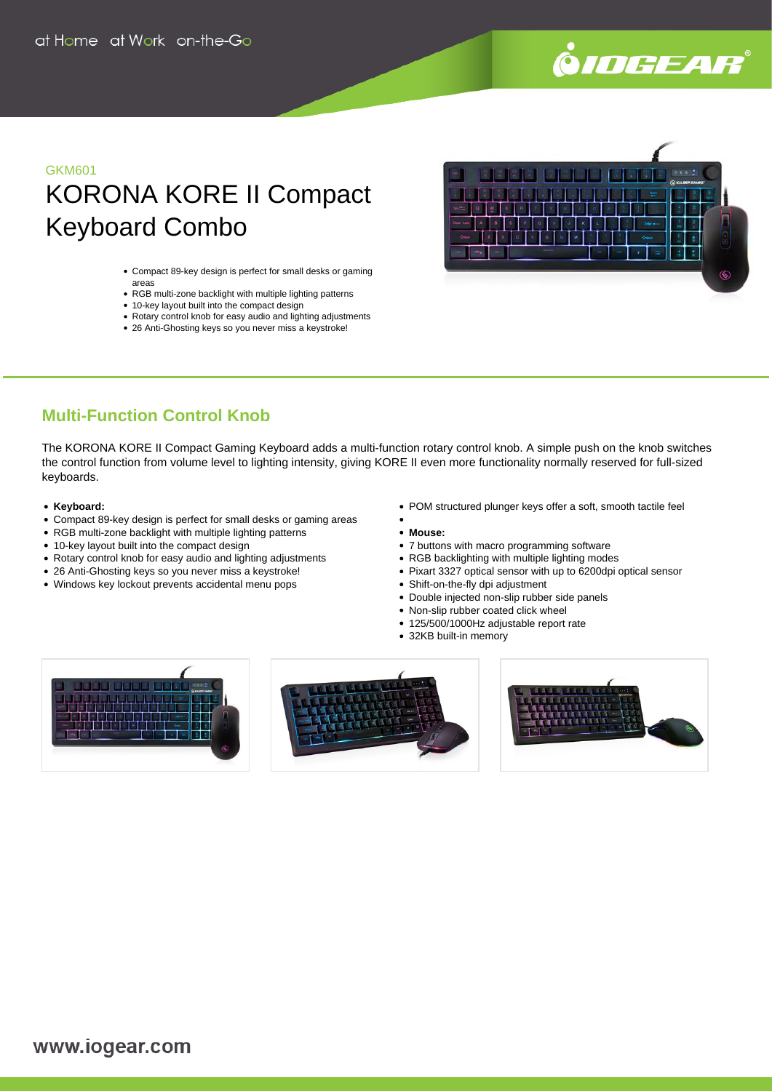

# GKM601 KORONA KORE II Compact Keyboard Combo

- Compact 89-key design is perfect for small desks or gaming areas
- RGB multi-zone backlight with multiple lighting patterns
- 10-key layout built into the compact design
- Rotary control knob for easy audio and lighting adjustments
- 26 Anti-Ghosting keys so you never miss a keystroke!



## **Multi-Function Control Knob**

The KORONA KORE II Compact Gaming Keyboard adds a multi-function rotary control knob. A simple push on the knob switches the control function from volume level to lighting intensity, giving KORE II even more functionality normally reserved for full-sized keyboards.

#### **Keyboard:**

- Compact 89-key design is perfect for small desks or gaming areas
- RGB multi-zone backlight with multiple lighting patterns
- 10-key layout built into the compact design
- Rotary control knob for easy audio and lighting adjustments
- 26 Anti-Ghosting keys so you never miss a keystroke!
- Windows key lockout prevents accidental menu pops
- POM structured plunger keys offer a soft, smooth tactile feel
- **Mouse:**
- 7 buttons with macro programming software
- RGB backlighting with multiple lighting modes
- Pixart 3327 optical sensor with up to 6200dpi optical sensor
- Shift-on-the-fly dpi adjustment
- Double injected non-slip rubber side panels
- Non-slip rubber coated click wheel
- 125/500/1000Hz adjustable report rate
- 32KB built-in memory

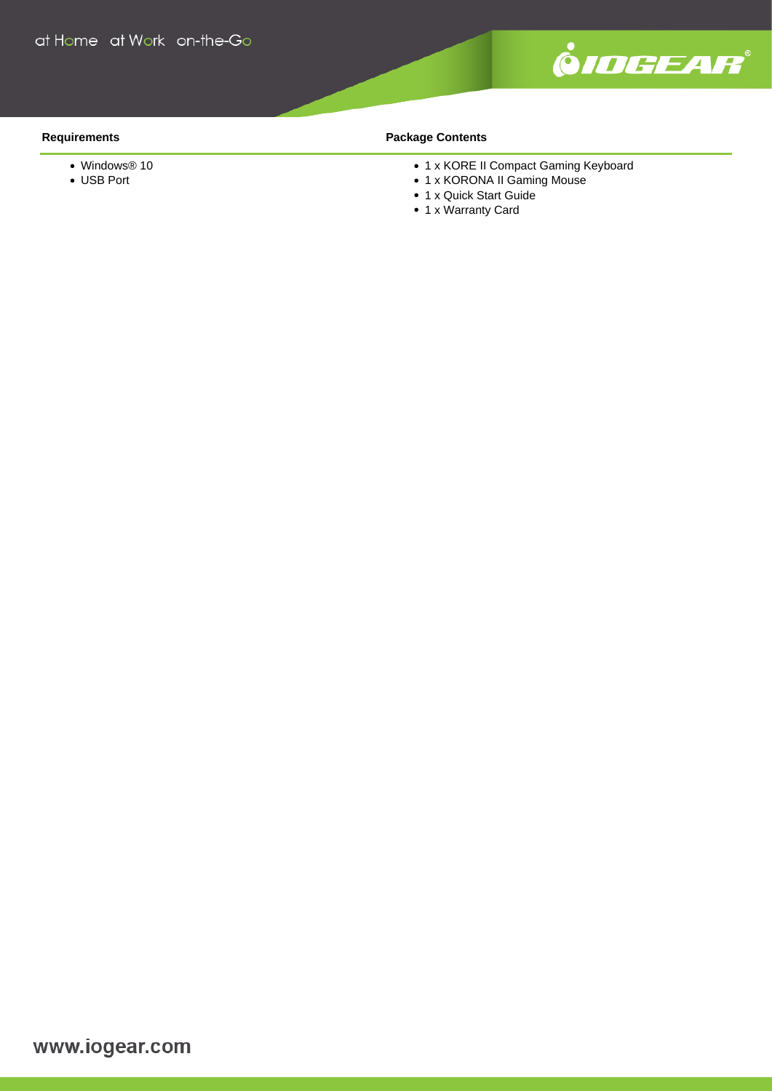

#### **Requirements**

- Windows® 10
- USB Port

### **Package Contents**

- 1 x KORE II Compact Gaming Keyboard
- 1 x KORONA II Gaming Mouse
- 1 x Quick Start Guide
- 1 x Warranty Card